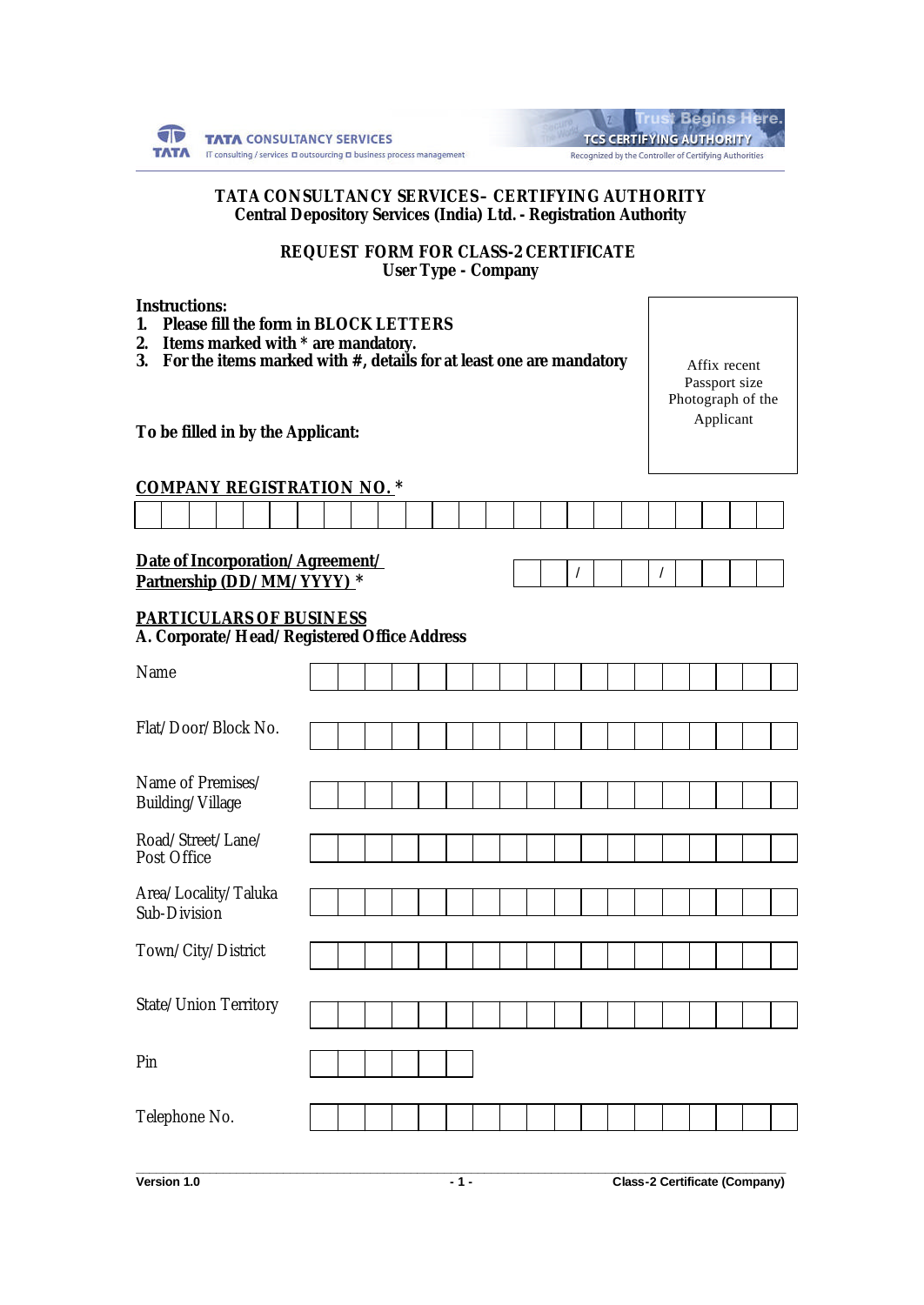| <b>TATA CONSULTANCY SERVICES</b>                                                               |
|------------------------------------------------------------------------------------------------|
| <b>TATA</b> IT consulting / services <b>D</b> outsourcing <b>D</b> business process management |

| <b>Trust Begins Here.</b>                              |
|--------------------------------------------------------|
| <b>TCS CERTIFYING AUTHORITY</b>                        |
| Recognized by the Controller of Certifying Authorities |

### **TATA CONSULTANCY SERVICES – CERTIFYING AUTHORITY Central Depository Services (India) Ltd. - Registration Authority**

**REQUEST FORM FOR CLASS-2 CERTIFICATE User Type - Company**

| <b>Instructions:</b><br>$\mathbf{1}$<br>2.<br>3.                              | <b>Please fill the form in BLOCK LETTERS</b><br>Items marked with * are mandatory.<br>For the items marked with $#$ , details for at least one are mandatory<br>To be filled in by the Applicant: |  |  |  |  |  |  |  |  |  |  |          |  |  |  | Affix recent<br>Passport size<br>Photograph of the<br>Applicant |  |  |  |  |  |
|-------------------------------------------------------------------------------|---------------------------------------------------------------------------------------------------------------------------------------------------------------------------------------------------|--|--|--|--|--|--|--|--|--|--|----------|--|--|--|-----------------------------------------------------------------|--|--|--|--|--|
| <b>COMPANY REGISTRATION NO. *</b>                                             |                                                                                                                                                                                                   |  |  |  |  |  |  |  |  |  |  |          |  |  |  |                                                                 |  |  |  |  |  |
|                                                                               |                                                                                                                                                                                                   |  |  |  |  |  |  |  |  |  |  |          |  |  |  |                                                                 |  |  |  |  |  |
| Date of Incorporation/Agreement/<br>T                                         |                                                                                                                                                                                                   |  |  |  |  |  |  |  |  |  |  |          |  |  |  |                                                                 |  |  |  |  |  |
| Partnership (DD/MM/YYYY) *                                                    |                                                                                                                                                                                                   |  |  |  |  |  |  |  |  |  |  | $\prime$ |  |  |  |                                                                 |  |  |  |  |  |
| <b>PARTICULARS OF BUSINESS</b><br>A. Corporate/Head/Registered Office Address |                                                                                                                                                                                                   |  |  |  |  |  |  |  |  |  |  |          |  |  |  |                                                                 |  |  |  |  |  |
| Name                                                                          |                                                                                                                                                                                                   |  |  |  |  |  |  |  |  |  |  |          |  |  |  |                                                                 |  |  |  |  |  |
|                                                                               |                                                                                                                                                                                                   |  |  |  |  |  |  |  |  |  |  |          |  |  |  |                                                                 |  |  |  |  |  |
| Flat/Door/Block No.                                                           |                                                                                                                                                                                                   |  |  |  |  |  |  |  |  |  |  |          |  |  |  |                                                                 |  |  |  |  |  |
| Name of Premises/                                                             |                                                                                                                                                                                                   |  |  |  |  |  |  |  |  |  |  |          |  |  |  |                                                                 |  |  |  |  |  |
| Building/Village                                                              |                                                                                                                                                                                                   |  |  |  |  |  |  |  |  |  |  |          |  |  |  |                                                                 |  |  |  |  |  |
| Road/Street/Lane/<br>Post Office                                              |                                                                                                                                                                                                   |  |  |  |  |  |  |  |  |  |  |          |  |  |  |                                                                 |  |  |  |  |  |
|                                                                               |                                                                                                                                                                                                   |  |  |  |  |  |  |  |  |  |  |          |  |  |  |                                                                 |  |  |  |  |  |
| Area/Locality/Taluka<br>Sub-Division                                          |                                                                                                                                                                                                   |  |  |  |  |  |  |  |  |  |  |          |  |  |  |                                                                 |  |  |  |  |  |
| Town/City/District                                                            |                                                                                                                                                                                                   |  |  |  |  |  |  |  |  |  |  |          |  |  |  |                                                                 |  |  |  |  |  |
|                                                                               |                                                                                                                                                                                                   |  |  |  |  |  |  |  |  |  |  |          |  |  |  |                                                                 |  |  |  |  |  |
| State/Union Territory                                                         |                                                                                                                                                                                                   |  |  |  |  |  |  |  |  |  |  |          |  |  |  |                                                                 |  |  |  |  |  |
| Pin                                                                           |                                                                                                                                                                                                   |  |  |  |  |  |  |  |  |  |  |          |  |  |  |                                                                 |  |  |  |  |  |
|                                                                               |                                                                                                                                                                                                   |  |  |  |  |  |  |  |  |  |  |          |  |  |  |                                                                 |  |  |  |  |  |
| Telephone No.                                                                 |                                                                                                                                                                                                   |  |  |  |  |  |  |  |  |  |  |          |  |  |  |                                                                 |  |  |  |  |  |
|                                                                               |                                                                                                                                                                                                   |  |  |  |  |  |  |  |  |  |  |          |  |  |  |                                                                 |  |  |  |  |  |

**\_\_\_\_\_\_\_\_\_\_\_\_\_\_\_\_\_\_\_\_\_\_\_\_\_\_\_\_\_\_\_\_\_\_\_\_\_\_\_\_\_\_\_\_\_\_\_\_\_\_\_\_\_\_\_\_\_\_\_\_\_\_\_\_\_\_\_\_\_\_\_\_\_\_\_\_\_\_\_\_\_\_\_\_\_\_\_\_\_\_\_\_\_\_\_\_\_ Version 1.0 - 1 - Class-2 Certificate (Company)**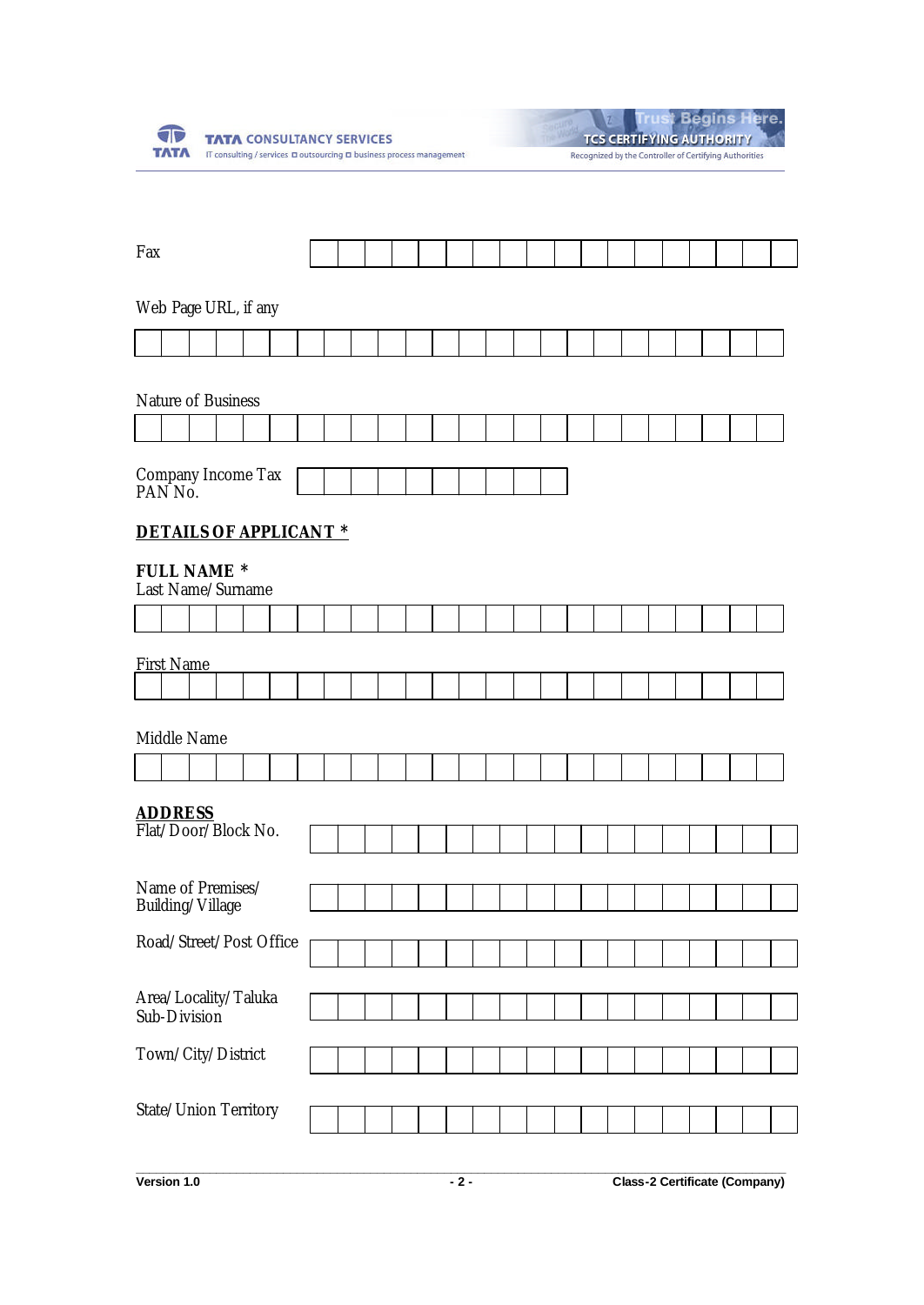

|  |                                                        | ieains Mere. |  |
|--|--------------------------------------------------------|--------------|--|
|  | <b>TCS CERTIFYING AUTHORITY</b>                        |              |  |
|  | Recognized by the Controller of Certifying Authorities |              |  |

| Fax                                      |  |  |  |  |  |  |  |  |  |  |  |  |  |  |
|------------------------------------------|--|--|--|--|--|--|--|--|--|--|--|--|--|--|
| Web Page URL, if any                     |  |  |  |  |  |  |  |  |  |  |  |  |  |  |
|                                          |  |  |  |  |  |  |  |  |  |  |  |  |  |  |
| Nature of Business                       |  |  |  |  |  |  |  |  |  |  |  |  |  |  |
|                                          |  |  |  |  |  |  |  |  |  |  |  |  |  |  |
| Company Income Tax<br>PAN <sub>No.</sub> |  |  |  |  |  |  |  |  |  |  |  |  |  |  |
| <b>DETAILS OF APPLICANT *</b>            |  |  |  |  |  |  |  |  |  |  |  |  |  |  |
| <b>FULL NAME *</b><br>Last Name/Surname  |  |  |  |  |  |  |  |  |  |  |  |  |  |  |
|                                          |  |  |  |  |  |  |  |  |  |  |  |  |  |  |
| <b>First Name</b>                        |  |  |  |  |  |  |  |  |  |  |  |  |  |  |
|                                          |  |  |  |  |  |  |  |  |  |  |  |  |  |  |
| Middle Name                              |  |  |  |  |  |  |  |  |  |  |  |  |  |  |
|                                          |  |  |  |  |  |  |  |  |  |  |  |  |  |  |
| <b>ADDRESS</b><br>Flat/Door/Block No.    |  |  |  |  |  |  |  |  |  |  |  |  |  |  |
|                                          |  |  |  |  |  |  |  |  |  |  |  |  |  |  |
| Name of Premises/<br>Building/Village    |  |  |  |  |  |  |  |  |  |  |  |  |  |  |
| Road/Street/Post Office                  |  |  |  |  |  |  |  |  |  |  |  |  |  |  |
|                                          |  |  |  |  |  |  |  |  |  |  |  |  |  |  |
| Area/Locality/Taluka<br>Sub-Division     |  |  |  |  |  |  |  |  |  |  |  |  |  |  |
| Town/City/District                       |  |  |  |  |  |  |  |  |  |  |  |  |  |  |
| State/Union Territory                    |  |  |  |  |  |  |  |  |  |  |  |  |  |  |
|                                          |  |  |  |  |  |  |  |  |  |  |  |  |  |  |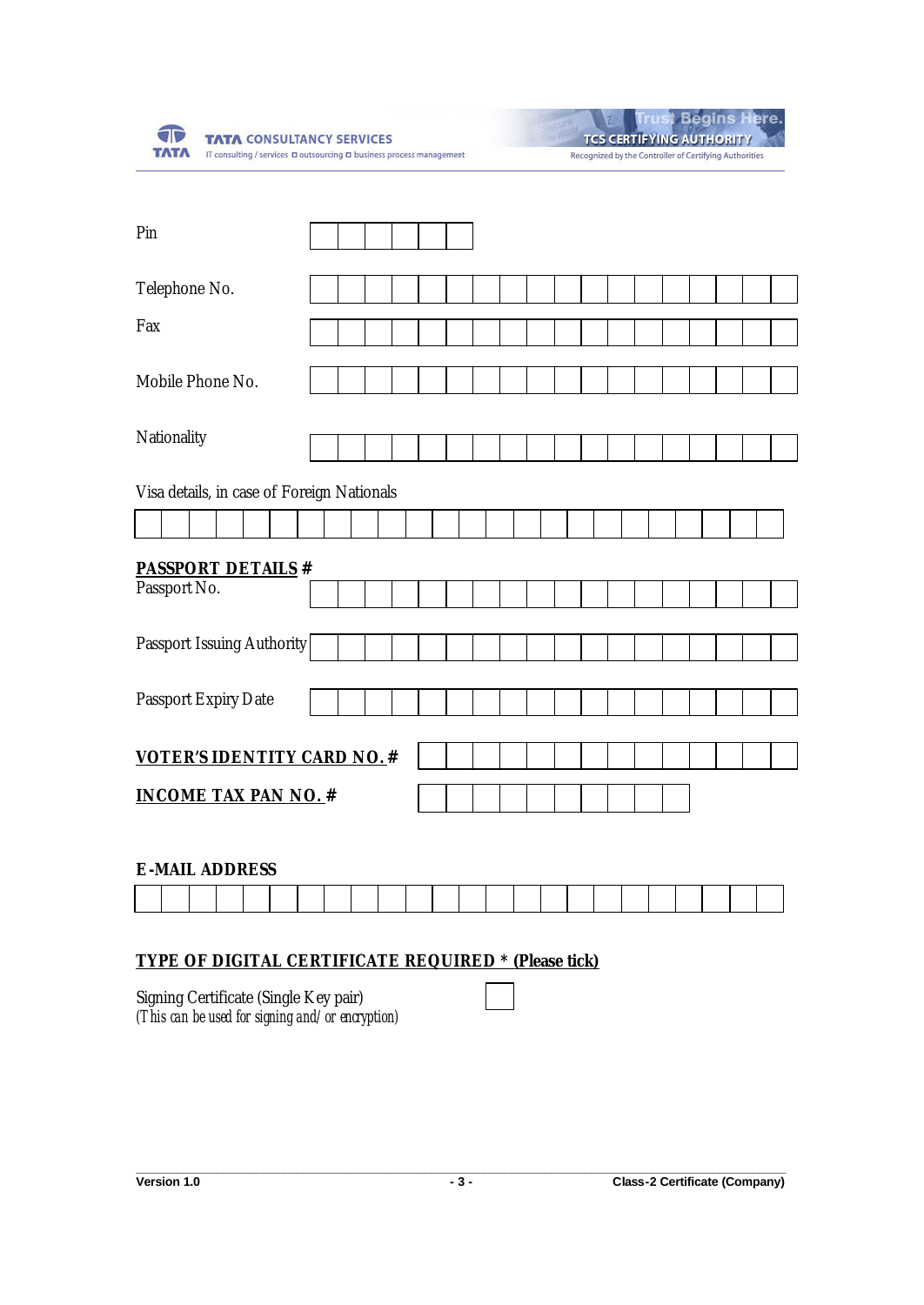

**Begins Here.** 

TCS CERTIFYING AUTHORITY Recognized by the Controller of Certifying Authorities

| Pin                                        |  |  |  |  |  |  |  |  |  |  |
|--------------------------------------------|--|--|--|--|--|--|--|--|--|--|
| Telephone No.                              |  |  |  |  |  |  |  |  |  |  |
| Fax                                        |  |  |  |  |  |  |  |  |  |  |
| Mobile Phone No.                           |  |  |  |  |  |  |  |  |  |  |
| Nationality                                |  |  |  |  |  |  |  |  |  |  |
| Visa details, in case of Foreign Nationals |  |  |  |  |  |  |  |  |  |  |
|                                            |  |  |  |  |  |  |  |  |  |  |
| <b>PASSPORT DETAILS #</b>                  |  |  |  |  |  |  |  |  |  |  |
| Passport No.                               |  |  |  |  |  |  |  |  |  |  |
| Passport Issuing Authority                 |  |  |  |  |  |  |  |  |  |  |
| Passport Expiry Date                       |  |  |  |  |  |  |  |  |  |  |
| <b>VOTER'S IDENTITY CARD NO. #</b>         |  |  |  |  |  |  |  |  |  |  |
| <b>INCOME TAX PAN NO. #</b>                |  |  |  |  |  |  |  |  |  |  |

## **E-MAIL ADDRESS**

# **TYPE OF DIGITAL CERTIFICATE REQUIRED \* (Please tick)**

Signing Certificate (Single Key pair) *(This can be used for signing and/or encryption)*